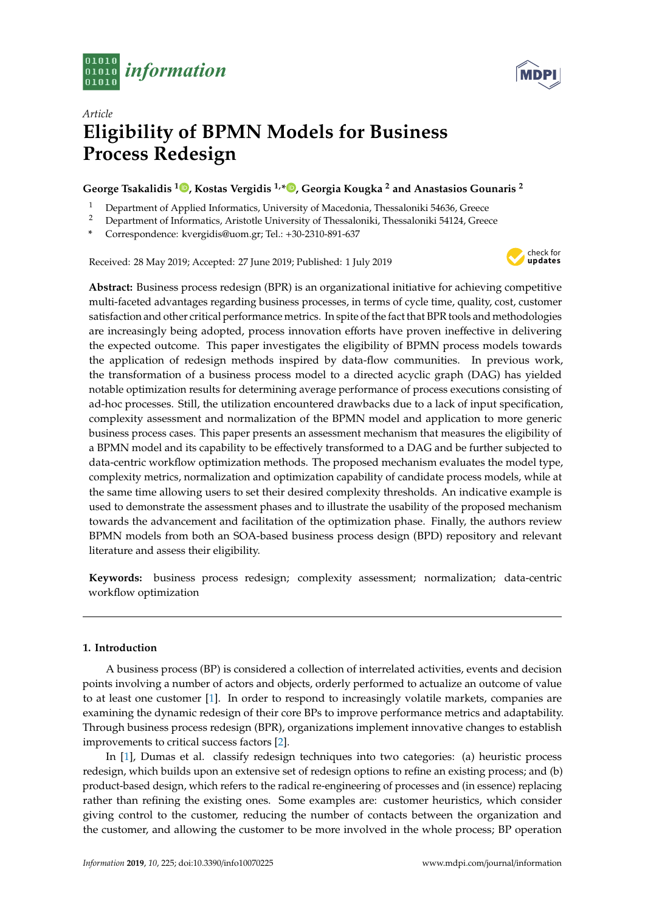



# *Article* **Eligibility of BPMN Models for Business Process Redesign**

# **George Tsakalidis <sup>1</sup> [,](https://orcid.org/0000-0002-0889-7946) Kostas Vergidis 1,[\\*](https://orcid.org/0000-0002-2755-499X) , Georgia Kougka <sup>2</sup> and Anastasios Gounaris <sup>2</sup>**

- <sup>1</sup> Department of Applied Informatics, University of Macedonia, Thessaloniki 54636, Greece
- <sup>2</sup> Department of Informatics, Aristotle University of Thessaloniki, Thessaloniki 54124, Greece
- **\*** Correspondence: kvergidis@uom.gr; Tel.: +30-2310-891-637

Received: 28 May 2019; Accepted: 27 June 2019; Published: 1 July 2019



**Abstract:** Business process redesign (BPR) is an organizational initiative for achieving competitive multi-faceted advantages regarding business processes, in terms of cycle time, quality, cost, customer satisfaction and other critical performance metrics. In spite of the fact that BPR tools and methodologies are increasingly being adopted, process innovation efforts have proven ineffective in delivering the expected outcome. This paper investigates the eligibility of BPMN process models towards the application of redesign methods inspired by data-flow communities. In previous work, the transformation of a business process model to a directed acyclic graph (DAG) has yielded notable optimization results for determining average performance of process executions consisting of ad-hoc processes. Still, the utilization encountered drawbacks due to a lack of input specification, complexity assessment and normalization of the BPMN model and application to more generic business process cases. This paper presents an assessment mechanism that measures the eligibility of a BPMN model and its capability to be effectively transformed to a DAG and be further subjected to data-centric workflow optimization methods. The proposed mechanism evaluates the model type, complexity metrics, normalization and optimization capability of candidate process models, while at the same time allowing users to set their desired complexity thresholds. An indicative example is used to demonstrate the assessment phases and to illustrate the usability of the proposed mechanism towards the advancement and facilitation of the optimization phase. Finally, the authors review BPMN models from both an SOA-based business process design (BPD) repository and relevant literature and assess their eligibility.

**Keywords:** business process redesign; complexity assessment; normalization; data-centric workflow optimization

### **1. Introduction**

A business process (BP) is considered a collection of interrelated activities, events and decision points involving a number of actors and objects, orderly performed to actualize an outcome of value to at least one customer [\[1\]](#page-11-0). In order to respond to increasingly volatile markets, companies are examining the dynamic redesign of their core BPs to improve performance metrics and adaptability. Through business process redesign (BPR), organizations implement innovative changes to establish improvements to critical success factors [\[2\]](#page-11-1).

In [\[1\]](#page-11-0), Dumas et al. classify redesign techniques into two categories: (a) heuristic process redesign, which builds upon an extensive set of redesign options to refine an existing process; and (b) product-based design, which refers to the radical re-engineering of processes and (in essence) replacing rather than refining the existing ones. Some examples are: customer heuristics, which consider giving control to the customer, reducing the number of contacts between the organization and the customer, and allowing the customer to be more involved in the whole process; BP operation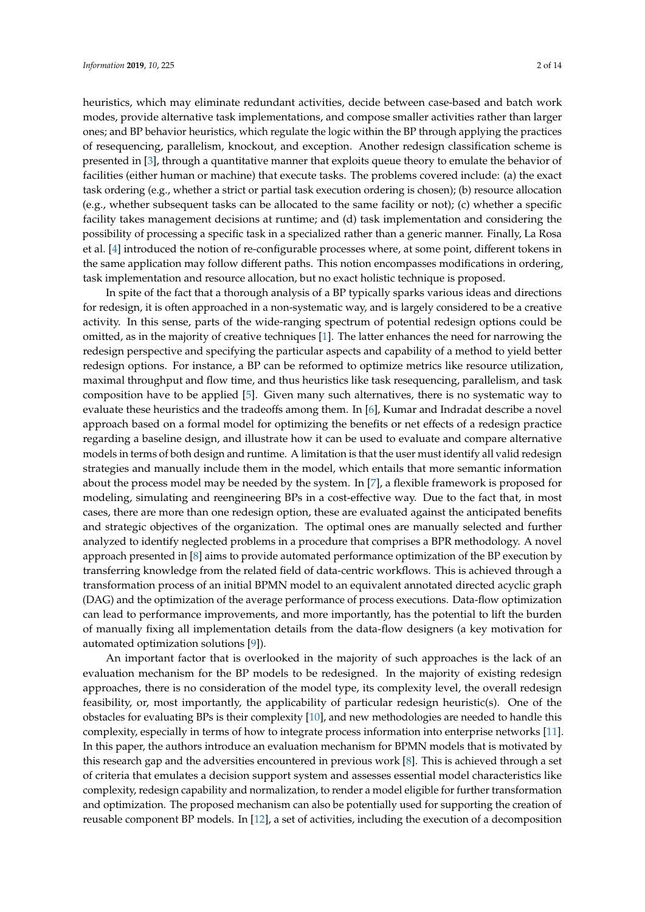heuristics, which may eliminate redundant activities, decide between case-based and batch work modes, provide alternative task implementations, and compose smaller activities rather than larger ones; and BP behavior heuristics, which regulate the logic within the BP through applying the practices of resequencing, parallelism, knockout, and exception. Another redesign classification scheme is presented in [\[3\]](#page-11-2), through a quantitative manner that exploits queue theory to emulate the behavior of facilities (either human or machine) that execute tasks. The problems covered include: (a) the exact task ordering (e.g., whether a strict or partial task execution ordering is chosen); (b) resource allocation (e.g., whether subsequent tasks can be allocated to the same facility or not); (c) whether a specific facility takes management decisions at runtime; and (d) task implementation and considering the possibility of processing a specific task in a specialized rather than a generic manner. Finally, La Rosa et al. [\[4\]](#page-11-3) introduced the notion of re-configurable processes where, at some point, different tokens in the same application may follow different paths. This notion encompasses modifications in ordering, task implementation and resource allocation, but no exact holistic technique is proposed.

In spite of the fact that a thorough analysis of a BP typically sparks various ideas and directions for redesign, it is often approached in a non-systematic way, and is largely considered to be a creative activity. In this sense, parts of the wide-ranging spectrum of potential redesign options could be omitted, as in the majority of creative techniques [\[1\]](#page-11-0). The latter enhances the need for narrowing the redesign perspective and specifying the particular aspects and capability of a method to yield better redesign options. For instance, a BP can be reformed to optimize metrics like resource utilization, maximal throughput and flow time, and thus heuristics like task resequencing, parallelism, and task composition have to be applied [\[5\]](#page-11-4). Given many such alternatives, there is no systematic way to evaluate these heuristics and the tradeoffs among them. In [\[6\]](#page-11-5), Kumar and Indradat describe a novel approach based on a formal model for optimizing the benefits or net effects of a redesign practice regarding a baseline design, and illustrate how it can be used to evaluate and compare alternative models in terms of both design and runtime. A limitation is that the user must identify all valid redesign strategies and manually include them in the model, which entails that more semantic information about the process model may be needed by the system. In [\[7\]](#page-11-6), a flexible framework is proposed for modeling, simulating and reengineering BPs in a cost-effective way. Due to the fact that, in most cases, there are more than one redesign option, these are evaluated against the anticipated benefits and strategic objectives of the organization. The optimal ones are manually selected and further analyzed to identify neglected problems in a procedure that comprises a BPR methodology. A novel approach presented in [\[8\]](#page-11-7) aims to provide automated performance optimization of the BP execution by transferring knowledge from the related field of data-centric workflows. This is achieved through a transformation process of an initial BPMN model to an equivalent annotated directed acyclic graph (DAG) and the optimization of the average performance of process executions. Data-flow optimization can lead to performance improvements, and more importantly, has the potential to lift the burden of manually fixing all implementation details from the data-flow designers (a key motivation for automated optimization solutions [\[9\]](#page-11-8)).

An important factor that is overlooked in the majority of such approaches is the lack of an evaluation mechanism for the BP models to be redesigned. In the majority of existing redesign approaches, there is no consideration of the model type, its complexity level, the overall redesign feasibility, or, most importantly, the applicability of particular redesign heuristic(s). One of the obstacles for evaluating BPs is their complexity [\[10\]](#page-11-9), and new methodologies are needed to handle this complexity, especially in terms of how to integrate process information into enterprise networks [\[11\]](#page-11-10). In this paper, the authors introduce an evaluation mechanism for BPMN models that is motivated by this research gap and the adversities encountered in previous work [\[8\]](#page-11-7). This is achieved through a set of criteria that emulates a decision support system and assesses essential model characteristics like complexity, redesign capability and normalization, to render a model eligible for further transformation and optimization. The proposed mechanism can also be potentially used for supporting the creation of reusable component BP models. In [\[12\]](#page-11-11), a set of activities, including the execution of a decomposition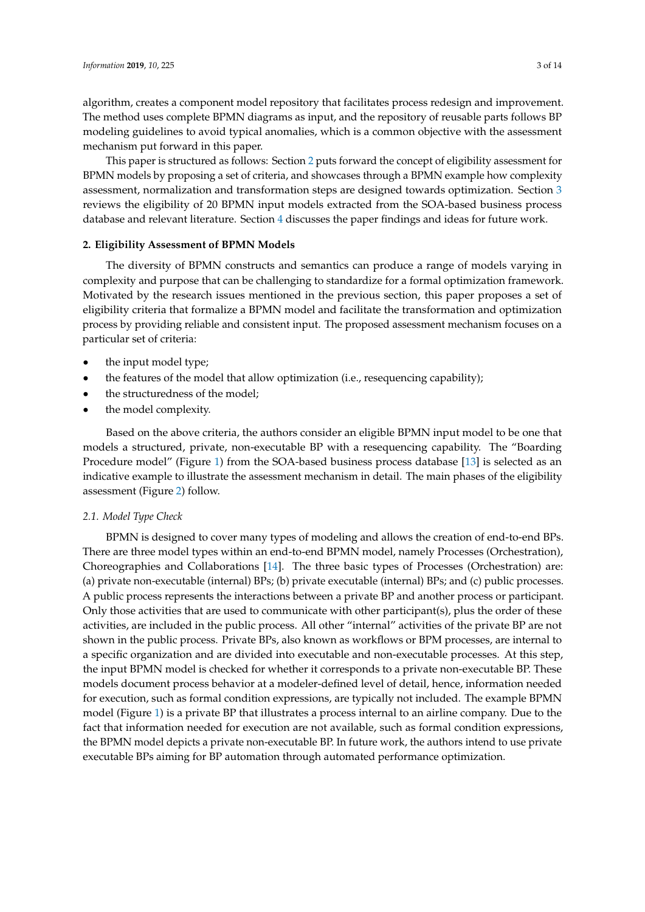algorithm, creates a component model repository that facilitates process redesign and improvement. The method uses complete BPMN diagrams as input, and the repository of reusable parts follows BP modeling guidelines to avoid typical anomalies, which is a common objective with the assessment mechanism put forward in this paper.

This paper is structured as follows: Section [2](#page-2-0) puts forward the concept of eligibility assessment for BPMN models by proposing a set of criteria, and showcases through a BPMN example how complexity assessment, normalization and transformation steps are designed towards optimization. Section [3](#page-8-0) reviews the eligibility of 20 BPMN input models extracted from the SOA-based business process database and relevant literature. Section [4](#page-10-0) discusses the paper findings and ideas for future work.

#### <span id="page-2-0"></span>**2. Eligibility Assessment of BPMN Models**

The diversity of BPMN constructs and semantics can produce a range of models varying in complexity and purpose that can be challenging to standardize for a formal optimization framework. Motivated by the research issues mentioned in the previous section, this paper proposes a set of eligibility criteria that formalize a BPMN model and facilitate the transformation and optimization process by providing reliable and consistent input. The proposed assessment mechanism focuses on a particular set of criteria:

- the input model type;
- the features of the model that allow optimization (i.e., resequencing capability);
- the structuredness of the model;
- the model complexity.

Based on the above criteria, the authors consider an eligible BPMN input model to be one that models a structured, private, non-executable BP with a resequencing capability. The "Boarding Procedure model" (Figure [1\)](#page-3-0) from the SOA-based business process database [\[13\]](#page-11-12) is selected as an indicative example to illustrate the assessment mechanism in detail. The main phases of the eligibility assessment (Figure [2\)](#page-4-0) follow.

#### *2.1. Model Type Check*

BPMN is designed to cover many types of modeling and allows the creation of end-to-end BPs. There are three model types within an end-to-end BPMN model, namely Processes (Orchestration), Choreographies and Collaborations [\[14\]](#page-11-13). The three basic types of Processes (Orchestration) are: (a) private non-executable (internal) BPs; (b) private executable (internal) BPs; and (c) public processes. A public process represents the interactions between a private BP and another process or participant. Only those activities that are used to communicate with other participant(s), plus the order of these activities, are included in the public process. All other "internal" activities of the private BP are not shown in the public process. Private BPs, also known as workflows or BPM processes, are internal to a specific organization and are divided into executable and non-executable processes. At this step, the input BPMN model is checked for whether it corresponds to a private non-executable BP. These models document process behavior at a modeler-defined level of detail, hence, information needed for execution, such as formal condition expressions, are typically not included. The example BPMN model (Figure [1\)](#page-3-0) is a private BP that illustrates a process internal to an airline company. Due to the fact that information needed for execution are not available, such as formal condition expressions, the BPMN model depicts a private non-executable BP. In future work, the authors intend to use private executable BPs aiming for BP automation through automated performance optimization.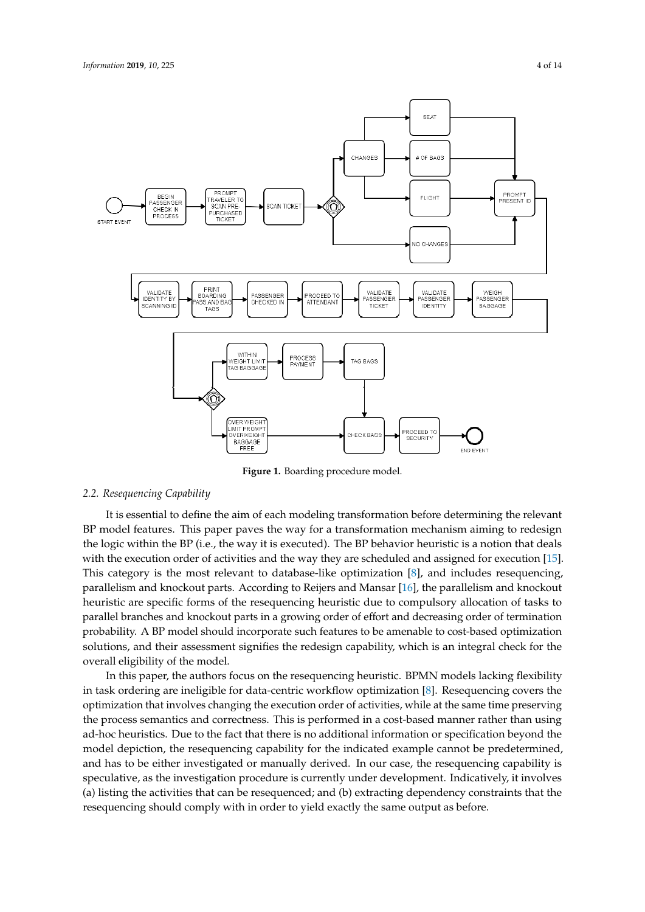<span id="page-3-0"></span>

**Figure 1.** Boarding procedure model. **Figure 1.** Boarding procedure model.

## *2.2. Resequencing Capability 2.2. Resequencing Capability*

It is essential to define the aim of each modeling transformation before determining the relevant It is essential to define the aim of each modeling transformation before determining the relevant BP model features. This paper paves the way for a transformation mechanism aiming to redesign the logic within the BP (i.e., the way it is executed). The BP behavior heuristic is a notion that deals with the execution order of activities and the way they are scheduled and assigned for execution [\[15\]](#page-11-14). This category is the most relevant to database-like optimization [8][, a](#page-11-7)nd includes resequencing, parallelism and knockout parts. According to Reijers and Mansar [[16\],](#page-12-0) the parallelism and knockout parallelism and knockout parts. According to Reijers and Mansar [16], the parallelism and knockout heuristic are specific forms of the resequencing heuristic due to compulsory allocation of tasks to heuristic are specific forms of the resequencing heuristic due to compulsory allocation of tasks to parallel branches and knockout parts in a growing order of effort and decreasing order of termination parallel branches and knockout parts in a growing order of effort and decreasing order of termination probability. A BP model should incorporate such features to be amenable to cost-based optimization probability. A BP model should incorporate such features to be amenable to cost-based optimization solutions, and their assessment signifies the redesign capability, which is an integral check for the solutions, and their assessment signifies the redesign capability, which is an integral check for the overall eligibility of the model. overall eligibility of the model.

In this paper, the authors focus on the resequencing heuristic. BPMN models lacking flexibility In this paper, the authors focus on the resequencing heuristic. BPMN models lacking flexibility in task ordering are ineligible for data-centric workflow optimization [8]. Resequencing covers the in task ordering are ineligible for data-centric workflow optimization [\[8\]](#page-11-7). Resequencing covers the not optimization that include the executive changing the execution of a changing the same times, which is optimization that involves changing the execution order of activities, while at the same time preserving the process semantics and correctness. This is performed in a cost-based manner rather than using ad-hoc heuristics. Due to the fact that there is no additional information or specification beyond the model depiction, the resequencing capability for the indicated example cannot be predetermined, and has to be either investigated or manually derived. In our case, the resequencing capability is speculative, as the investigation procedure is currently under development. Indicatively, it involves (a) listing the activities that can be resequenced; and (b) extracting dependency constraints that the resequencing should comply with in order to yield exactly the same output as before.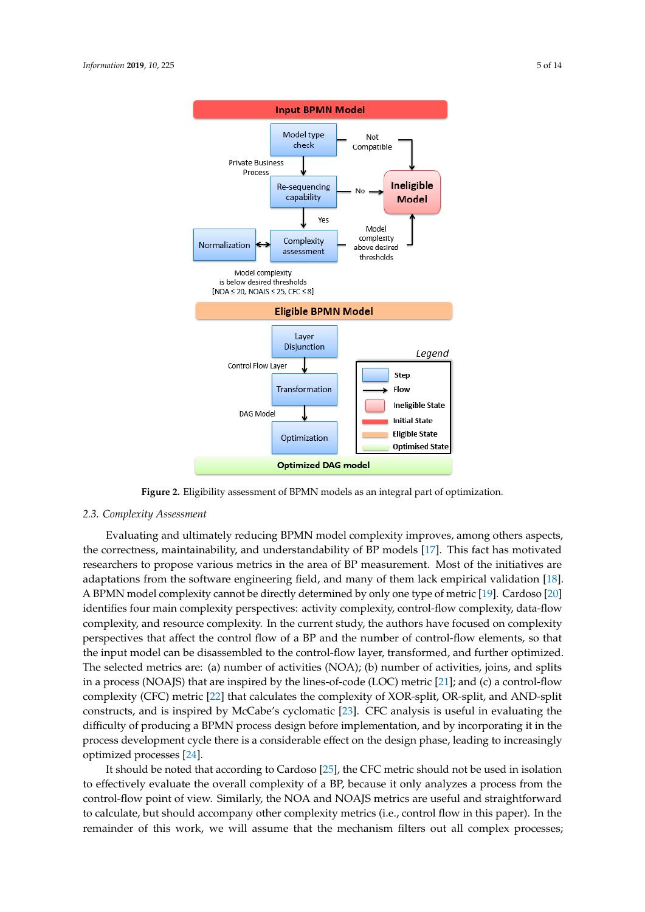<span id="page-4-0"></span>

**Figure 2.** Eligibility assessment of BPMN models as an integral part of optimization. **Figure 2.** Eligibility assessment of BPMN models as an integral part of optimization.

# *2.4. Normalization 2.3. Complexity Assessment*

Evaluating and ultimately reducing BPMN model complexity improves, among others aspects, the correctness, maintainability, and understandability of BP models [\[17\]](#page-12-1). This fact has motivated researchers to propose various metrics in the area of BP measurement. Most of the initiatives are adaptations from the software engineering field, and many of them lack empirical validation [\[18\]](#page-12-2). A BPMN model complexity cannot be directly determined by only one type of metric [\[19\]](#page-12-3). Cardoso [\[20\]](#page-12-4) identifies four main complexity perspectives: activity complexity, control-flow complexity, data-flow complexity, and resource complexity. In the current study, the authors have focused on complexity perspectives that affect the control flow of a BP and the number of control-flow elements, so that the input model can be disassembled to the control-flow layer, transformed, and further optimized. in a process (NOAJS) that are inspired by the lines-of-code (LOC) metric [\[21\]](#page-12-5); and (c) a control-flow complexity (CFC) metric [\[22\]](#page-12-6) that calculates the complexity of XOR-split, OR-split, and AND-split The selected metrics are: (a) number of activities (NOA); (b) number of activities, joins, and splits constructs, and is inspired by McCabe's cyclomatic [\[23\]](#page-12-7). CFC analysis is useful in evaluating the difficulty of producing a BPMN process design before implementation, and by incorporating it in the process development cycle there is a considerable effect on the design phase, leading to increasingly optimized processes [\[24\]](#page-12-8).

It should be noted that according to Cardoso [\[25\]](#page-12-9), the CFC metric should not be used in isolation to effectively evaluate the overall complexity of a BP, because it only analyzes a process from the control-flow point of view. Similarly, the NOA and NOAJS metrics are useful and straightforward to calculate, but should accompany other complexity metrics (i.e., control flow in this paper). In the remainder of this work, we will assume that the mechanism filters out all complex processes;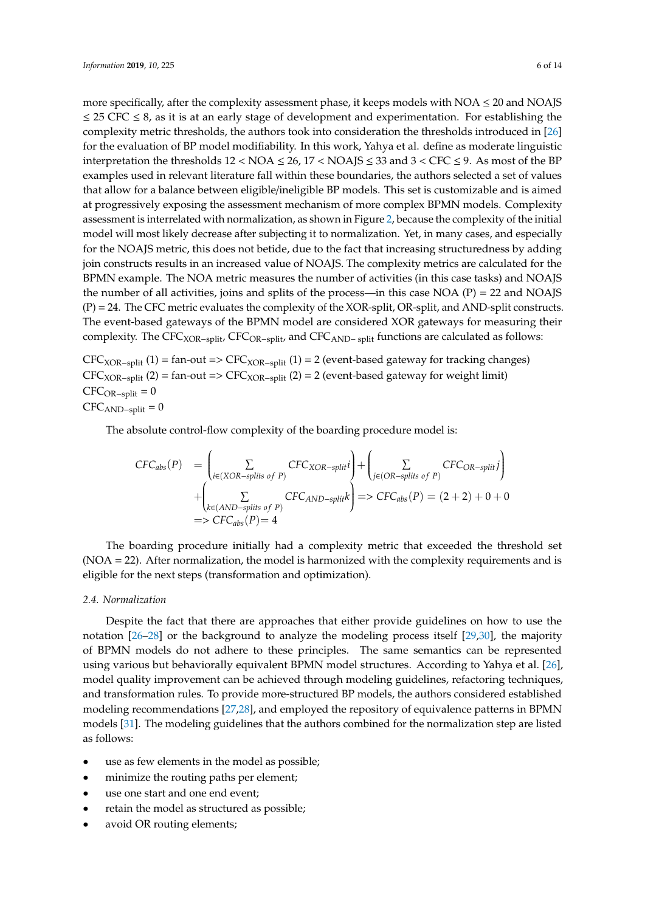more specifically, after the complexity assessment phase, it keeps models with  $NOA \le 20$  and  $NOAJ$ S  $≤$  25 CFC  $≤$  8, as it is at an early stage of development and experimentation. For establishing the complexity metric thresholds, the authors took into consideration the thresholds introduced in [\[26\]](#page-12-10) for the evaluation of BP model modifiability. In this work, Yahya et al. define as moderate linguistic interpretation the thresholds  $12 < NOA \le 26$ ,  $17 < NOA \le 33$  and  $3 < CFC \le 9$ . As most of the BP examples used in relevant literature fall within these boundaries, the authors selected a set of values that allow for a balance between eligible/ineligible BP models. This set is customizable and is aimed at progressively exposing the assessment mechanism of more complex BPMN models. Complexity assessment is interrelated with normalization, as shown in Figure [2,](#page-4-0) because the complexity of the initial model will most likely decrease after subjecting it to normalization. Yet, in many cases, and especially for the NOAJS metric, this does not betide, due to the fact that increasing structuredness by adding join constructs results in an increased value of NOAJS. The complexity metrics are calculated for the BPMN example. The NOA metric measures the number of activities (in this case tasks) and NOAJS the number of all activities, joins and splits of the process—in this case  $NOA (P) = 22$  and  $NOA \cdot S$ (P) = 24. The CFC metric evaluates the complexity of the XOR-split, OR-split, and AND-split constructs. The event-based gateways of the BPMN model are considered XOR gateways for measuring their complexity. The CFCXOR−split, CFCOR−split, and CFCAND<sup>−</sup> split functions are calculated as follows:

 $CFC<sub>XOR–split</sub>$  (1) = fan-out =>  $CFC<sub>XOR-split</sub>$  (1) = 2 (event-based gateway for tracking changes)  $CFC<sub>XOR-split</sub>$  (2) = fan-out =>  $CFC<sub>XOR-split</sub>$  (2) = 2 (event-based gateway for weight limit)  $CFC<sub>OR-split</sub> = 0$  $CFC<sub>AND-split</sub> = 0$ 

The absolute control-flow complexity of the boarding procedure model is:

$$
CFC_{abs}(P) = \left(\sum_{i \in (XOR-splits\ of\ P)} CFC_{XOR-spliti} \right) + \left(\sum_{j \in (OR-splits\ of\ P)} CFC_{OR-splitj} \right) + \left(\sum_{k \in (AND-splits\ of\ P)} CFC_{AND-splitk} \right) = > CFC_{abs}(P) = (2+2) + 0 + 0
$$
  
= > CFC<sub>abs</sub>(P) = 4

The boarding procedure initially had a complexity metric that exceeded the threshold set (NOA = 22). After normalization, the model is harmonized with the complexity requirements and is eligible for the next steps (transformation and optimization).

#### *2.4. Normalization*

Despite the fact that there are approaches that either provide guidelines on how to use the notation [\[26–](#page-12-10)[28\]](#page-12-11) or the background to analyze the modeling process itself [\[29](#page-12-12)[,30\]](#page-12-13), the majority of BPMN models do not adhere to these principles. The same semantics can be represented using various but behaviorally equivalent BPMN model structures. According to Yahya et al. [\[26\]](#page-12-10), model quality improvement can be achieved through modeling guidelines, refactoring techniques, and transformation rules. To provide more-structured BP models, the authors considered established modeling recommendations [\[27,](#page-12-14)[28\]](#page-12-11), and employed the repository of equivalence patterns in BPMN models [\[31\]](#page-12-15). The modeling guidelines that the authors combined for the normalization step are listed as follows:

- use as few elements in the model as possible;
- minimize the routing paths per element;
- use one start and one end event;
- retain the model as structured as possible;
- avoid OR routing elements;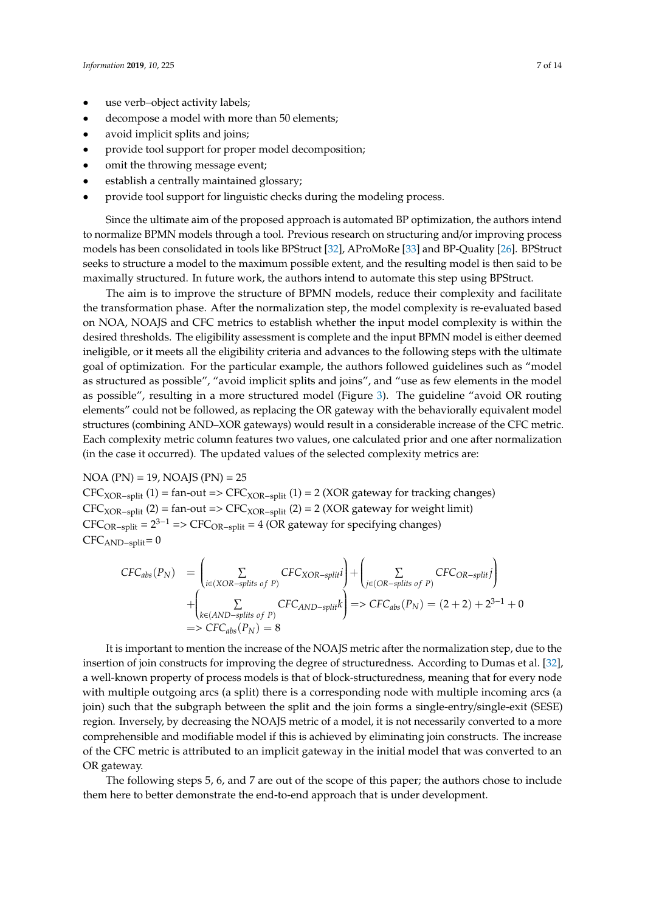- use verb-object activity labels;
- decompose a model with more than 50 elements;
- avoid implicit splits and joins;
- provide tool support for proper model decomposition;
- omit the throwing message event;
- establish a centrally maintained glossary;
- provide tool support for linguistic checks during the modeling process.

Since the ultimate aim of the proposed approach is automated BP optimization, the authors intend to normalize BPMN models through a tool. Previous research on structuring and/or improving process models has been consolidated in tools like BPStruct [\[32\]](#page-12-16), AProMoRe [\[33\]](#page-12-17) and BP-Quality [\[26\]](#page-12-10). BPStruct seeks to structure a model to the maximum possible extent, and the resulting model is then said to be maximally structured. In future work, the authors intend to automate this step using BPStruct.

The aim is to improve the structure of BPMN models, reduce their complexity and facilitate the transformation phase. After the normalization step, the model complexity is re-evaluated based on NOA, NOAJS and CFC metrics to establish whether the input model complexity is within the desired thresholds. The eligibility assessment is complete and the input BPMN model is either deemed ineligible, or it meets all the eligibility criteria and advances to the following steps with the ultimate goal of optimization. For the particular example, the authors followed guidelines such as "model as structured as possible", "avoid implicit splits and joins", and "use as few elements in the model as possible", resulting in a more structured model (Figure [3\)](#page-7-0). The guideline "avoid OR routing elements" could not be followed, as replacing the OR gateway with the behaviorally equivalent model structures (combining AND–XOR gateways) would result in a considerable increase of the CFC metric. Each complexity metric column features two values, one calculated prior and one after normalization (in the case it occurred). The updated values of the selected complexity metrics are:

#### $NOA (PN) = 19$ ,  $NOA (PN) = 25$

 $CFC<sub>XOR-split</sub>$  (1) = fan-out =>  $CFC<sub>XOR-split</sub>$  (1) = 2 (XOR gateway for tracking changes)  $CFC<sub>XOR-split</sub>$  (2) = fan-out =>  $CFC<sub>XOR-split</sub>$  (2) = 2 (XOR gateway for weight limit)  $CFC<sub>OR-split</sub> = 2<sup>3-1</sup>$  =>  $CFC<sub>OR-split</sub>$  = 4 (OR gateway for specifying changes)  $CFC<sub>AND-split</sub> = 0$ 

$$
CFC_{abs}(P_N) = \left(\sum_{i \in (XOR-splits\ of\ P)} CFC_{XOR-spliti} \right) + \left(\sum_{j \in (OR-splits\ of\ P)} CFC_{OR-spliti} \right) + \left(\sum_{k \in (AND-splits\ of\ P)} CFC_{AND-splitk} \right) = > CFC_{abs}(P_N) = (2+2) + 2^{3-1} + 0
$$
  
= > CFC\_{abs}(P\_N) = 8

It is important to mention the increase of the NOAJS metric after the normalization step, due to the insertion of join constructs for improving the degree of structuredness. According to Dumas et al. [\[32\]](#page-12-16), a well-known property of process models is that of block-structuredness, meaning that for every node with multiple outgoing arcs (a split) there is a corresponding node with multiple incoming arcs (a join) such that the subgraph between the split and the join forms a single-entry/single-exit (SESE) region. Inversely, by decreasing the NOAJS metric of a model, it is not necessarily converted to a more comprehensible and modifiable model if this is achieved by eliminating join constructs. The increase of the CFC metric is attributed to an implicit gateway in the initial model that was converted to an OR gateway.

The following steps 5, 6, and 7 are out of the scope of this paper; the authors chose to include them here to better demonstrate the end-to-end approach that is under development.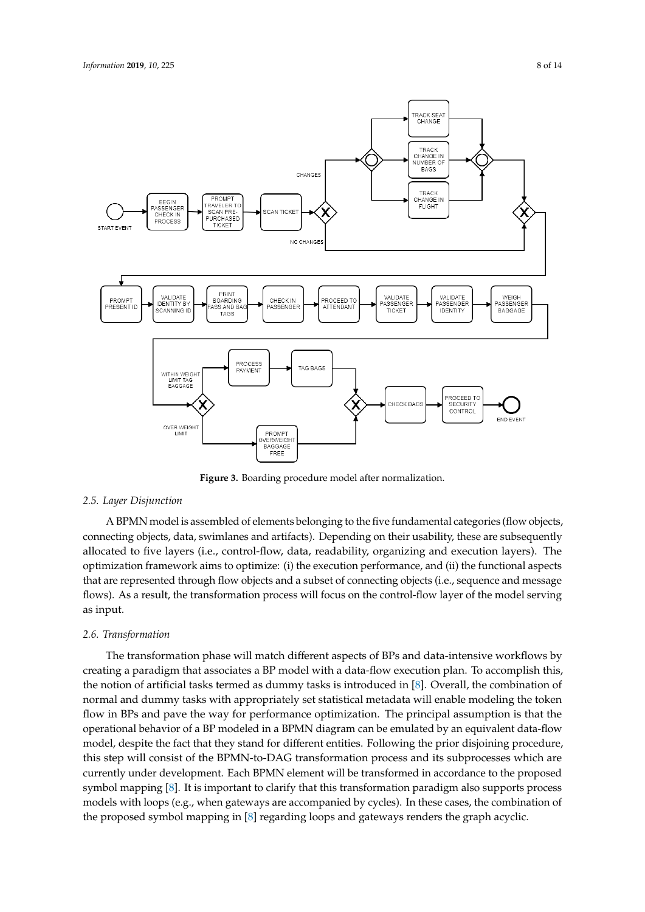<span id="page-7-0"></span>

**Figure 3.** Boarding procedure model after normalization. **Figure 3.** Boarding procedure model after normalization.

#### $T$  following steps 5, and 7 are out of the scope of the scope of the scope of this paper; the authors chose to include the authors chose to include the authors chose to include the authors chose to include the authors ch *2.5. Layer Disjunction*

A BPMN model is assembled of elements belonging to the five fundamental categories (flow objects, allocated to five layers (i.e., control-flow, data, readability, organizing and execution layers). The optimization framework aims to optimize: (i) the execution performance, and (ii) the functional aspects that are represented through flow objects and a subset of connecting objects (i.e., sequence and message flows). As a result, the transformation process will focus on the control-flow layer of the model serving  $\blacksquare$ connecting objects, data, swimlanes and artifacts). Depending on their usability, these are subsequently as input.

#### sequence and message flows). As a result, the transformation process will focus on the control-flow *2.6. Transformation*

The transformation phase will match different aspects of BPs and data-intensive workflows by *2.6. Transformation*  creating a paradigm that associates a BP model with a data-flow execution plan. To accomplish this, normal and dummy tasks with appropriately set statistical metadata will enable modeling the token flow in BPs and pave the way for performance optimization. The principal assumption is that the operational behavior of a BP modeled in a BPMN diagram can be emulated by an equivalent data-flow<br>operational behavior of a BP modeled in a BPMN diagram can be emulated by an equivalent data-flow  $\frac{1}{1}$  and dumminum tasks with a propriately set statistical metadata will enable modeling the token  $\frac{1}{1}$ model, despite the fact that they stand for different entities. Following the prior disjoining procedure,<br>with the contract that they stand for different entities. Following the prior disjoining procedure, this step will consist of the BPMN-to-DAG transformation process and its subprocesses which are currently under development. Each BPMN element will be transformed in accordance to the proposed symbol mapping [\[8\]](#page-11-7). It is important to clarify that this transformation paradigm also supports process models with loops (e.g., when gateways are accompanied by cycles). In these cases, the combination of the proposed symbol mapping in [\[8\]](#page-11-7) regarding loops and gateways renders the graph acyclic. the notion of artificial tasks termed as dummy tasks is introduced in [\[8\]](#page-11-7). Overall, the combination of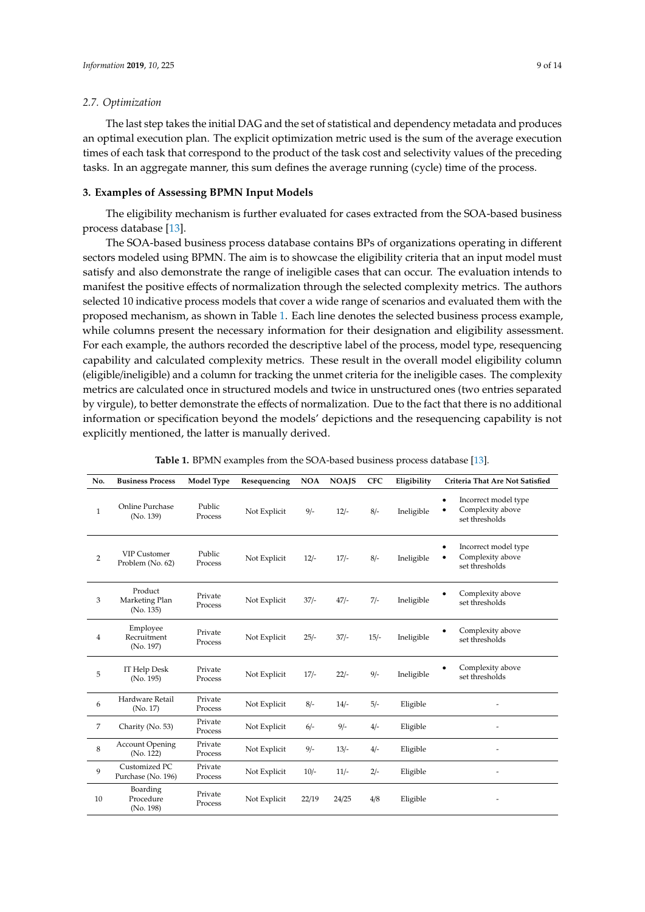#### *2.7. Optimization*

The last step takes the initial DAG and the set of statistical and dependency metadata and produces an optimal execution plan. The explicit optimization metric used is the sum of the average execution times of each task that correspond to the product of the task cost and selectivity values of the preceding tasks. In an aggregate manner, this sum defines the average running (cycle) time of the process.

#### <span id="page-8-0"></span>**3. Examples of Assessing BPMN Input Models**

The eligibility mechanism is further evaluated for cases extracted from the SOA-based business process database [\[13\]](#page-11-12).

The SOA-based business process database contains BPs of organizations operating in different sectors modeled using BPMN. The aim is to showcase the eligibility criteria that an input model must satisfy and also demonstrate the range of ineligible cases that can occur. The evaluation intends to manifest the positive effects of normalization through the selected complexity metrics. The authors selected 10 indicative process models that cover a wide range of scenarios and evaluated them with the proposed mechanism, as shown in Table [1.](#page-8-1) Each line denotes the selected business process example, while columns present the necessary information for their designation and eligibility assessment. For each example, the authors recorded the descriptive label of the process, model type, resequencing capability and calculated complexity metrics. These result in the overall model eligibility column (eligible/ineligible) and a column for tracking the unmet criteria for the ineligible cases. The complexity metrics are calculated once in structured models and twice in unstructured ones (two entries separated by virgule), to better demonstrate the effects of normalization. Due to the fact that there is no additional information or specification beyond the models' depictions and the resequencing capability is not explicitly mentioned, the latter is manually derived.

<span id="page-8-1"></span>

| No.            | <b>Business Process</b>                 | <b>Model Type</b>  | Resequencing | <b>NOA</b> | <b>NOAIS</b> | <b>CFC</b> | Eligibility | Criteria That Are Not Satisfied                                         |
|----------------|-----------------------------------------|--------------------|--------------|------------|--------------|------------|-------------|-------------------------------------------------------------------------|
| $\mathbf{1}$   | Online Purchase<br>(No. 139)            | Public<br>Process  | Not Explicit | $9/-$      | $12/-$       | $8/-$      | Ineligible  | Incorrect model type<br>$\bullet$<br>Complexity above<br>set thresholds |
| $\overline{2}$ | <b>VIP Customer</b><br>Problem (No. 62) | Public<br>Process  | Not Explicit | $12/-$     | $17/-$       | $8/-$      | Ineligible  | Incorrect model type<br>Complexity above<br>set thresholds              |
| 3              | Product<br>Marketing Plan<br>(No. 135)  | Private<br>Process | Not Explicit | $37/-$     | $47/-$       | $7/-$      | Ineligible  | Complexity above<br>set thresholds                                      |
| $\overline{4}$ | Employee<br>Recruitment<br>(No. 197)    | Private<br>Process | Not Explicit | $25/-$     | $37/-$       | $15/-$     | Ineligible  | Complexity above<br>set thresholds                                      |
| 5              | IT Help Desk<br>(No. 195)               | Private<br>Process | Not Explicit | $17/-$     | $22/-$       | $9/-$      | Ineligible  | Complexity above<br>set thresholds                                      |
| 6              | Hardware Retail<br>(No. 17)             | Private<br>Process | Not Explicit | $8/-$      | $14/-$       | $5/-$      | Eligible    |                                                                         |
| $\overline{7}$ | Charity (No. 53)                        | Private<br>Process | Not Explicit | $6/-$      | $9/-$        | $4/-$      | Eligible    |                                                                         |
| 8              | <b>Account Opening</b><br>(No. 122)     | Private<br>Process | Not Explicit | $9/-$      | $13/-$       | $4/-$      | Eligible    |                                                                         |
| 9              | Customized PC<br>Purchase (No. 196)     | Private<br>Process | Not Explicit | $10/-$     | $11/-$       | $2/-$      | Eligible    |                                                                         |
| 10             | Boarding<br>Procedure<br>(No. 198)      | Private<br>Process | Not Explicit | 22/19      | 24/25        | 4/8        | Eligible    |                                                                         |

**Table 1.** BPMN examples from the SOA-based business process database [\[13\]](#page-11-12).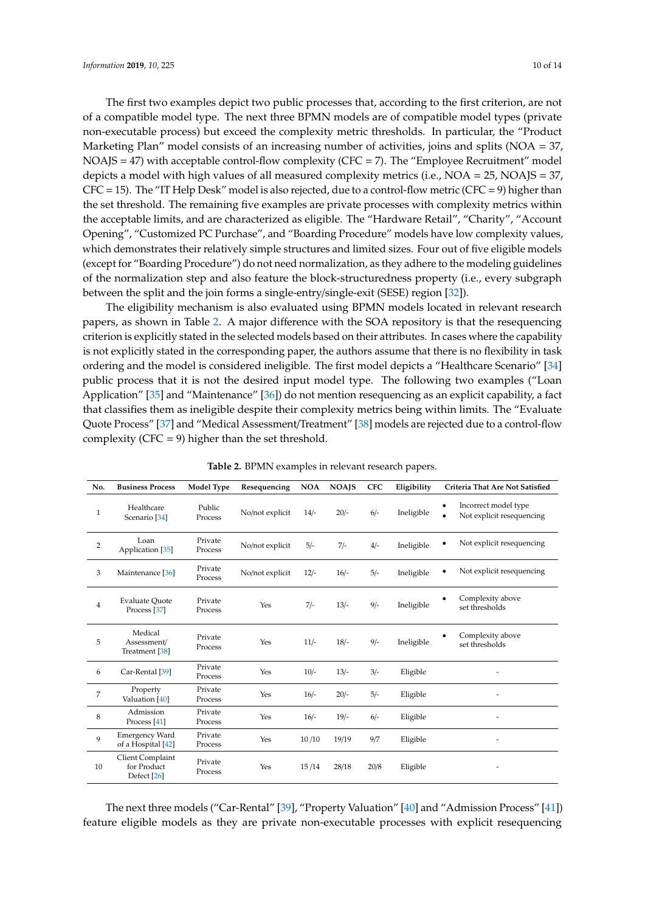The first two examples depict two public processes that, according to the first criterion, are not of a compatible model type. The next three BPMN models are of compatible model types (private non-executable process) but exceed the complexity metric thresholds. In particular, the "Product Marketing Plan" model consists of an increasing number of activities, joins and splits (NOA = 37, NOAJS = 47) with acceptable control-flow complexity (CFC = 7). The "Employee Recruitment" model depicts a model with high values of all measured complexity metrics (i.e., NOA = 25, NOAJS = 37,  $CFC = 15$ ). The "IT Help Desk" model is also rejected, due to a control-flow metric ( $CFC = 9$ ) higher than the set threshold. The remaining five examples are private processes with complexity metrics within the acceptable limits, and are characterized as eligible. The "Hardware Retail", "Charity", "Account Opening", "Customized PC Purchase", and "Boarding Procedure" models have low complexity values, which demonstrates their relatively simple structures and limited sizes. Four out of five eligible models (except for "Boarding Procedure") do not need normalization, as they adhere to the modeling guidelines of the normalization step and also feature the block-structuredness property (i.e., every subgraph between the split and the join forms a single-entry/single-exit (SESE) region [\[32\]](#page-12-16)).

The eligibility mechanism is also evaluated using BPMN models located in relevant research papers, as shown in Table [2.](#page-9-0) A major difference with the SOA repository is that the resequencing criterion is explicitly stated in the selected models based on their attributes. In cases where the capability is not explicitly stated in the corresponding paper, the authors assume that there is no flexibility in task ordering and the model is considered ineligible. The first model depicts a "Healthcare Scenario" [\[34\]](#page-12-18) public process that it is not the desired input model type. The following two examples ("Loan Application" [\[35\]](#page-12-19) and "Maintenance" [\[36\]](#page-12-20)) do not mention resequencing as an explicit capability, a fact that classifies them as ineligible despite their complexity metrics being within limits. The "Evaluate Quote Process" [\[37\]](#page-13-0) and "Medical Assessment/Treatment" [\[38\]](#page-13-1) models are rejected due to a control-flow complexity ( $CFC = 9$ ) higher than the set threshold.

<span id="page-9-0"></span>

| No.            | <b>Business Process</b>                                   | <b>Model Type</b>  | Resequencing    | <b>NOA</b> | <b>NOAJS</b> | <b>CFC</b> | Eligibility | Criteria That Are Not Satisfied                                |
|----------------|-----------------------------------------------------------|--------------------|-----------------|------------|--------------|------------|-------------|----------------------------------------------------------------|
| $\mathbf{1}$   | Healthcare<br>Scenario <sup>[34]</sup>                    | Public<br>Process  | No/not explicit | $14/-$     | $20/-$       | $6/-$      | Ineligible  | Incorrect model type<br>$\bullet$<br>Not explicit resequencing |
| $\overline{2}$ | Loan<br>Application [35]                                  | Private<br>Process | No/not explicit | $5/-$      | $7/-$        | $4/-$      | Ineligible  | Not explicit resequencing<br>٠                                 |
| 3              | Maintenance [36]                                          | Private<br>Process | No/not explicit | $12/-$     | $16/-$       | $5/-$      | Ineligible  | Not explicit resequencing<br>٠                                 |
| $\overline{4}$ | <b>Evaluate Ouote</b><br>Process <sup>[37]</sup>          | Private<br>Process | Yes             | $7/-$      | $13/-$       | $9/-$      | Ineligible  | Complexity above<br>$\bullet$<br>set thresholds                |
| 5              | Medical<br>Assessment/<br>Treatment [38]                  | Private<br>Process | Yes             | $11/-$     | $18/-$       | $9/-$      | Ineligible  | Complexity above<br>set thresholds                             |
| 6              | Car-Rental <sup>[39]</sup>                                | Private<br>Process | Yes             | $10/-$     | $13/-$       | $3/-$      | Eligible    |                                                                |
| $\overline{7}$ | Property<br>Valuation [40]                                | Private<br>Process | Yes             | $16/-$     | $20/-$       | $5/-$      | Eligible    |                                                                |
| 8              | Admission<br>Process <sup>[41]</sup>                      | Private<br>Process | Yes             | $16/-$     | $19/-$       | $6/-$      | Eligible    |                                                                |
| 9              | <b>Emergency Ward</b><br>of a Hospital [42]               | Private<br>Process | Yes             | 10/10      | 19/19        | 9/7        | Eligible    |                                                                |
| 10             | Client Complaint<br>for Product<br>Defect <sup>[26]</sup> | Private<br>Process | Yes             | 15/14      | 28/18        | 20/8       | Eligible    |                                                                |

**Table 2.** BPMN examples in relevant research papers.

The next three models ("Car-Rental" [\[39\]](#page-13-2), "Property Valuation" [\[40\]](#page-13-3) and "Admission Process" [\[41\]](#page-13-4)) feature eligible models as they are private non-executable processes with explicit resequencing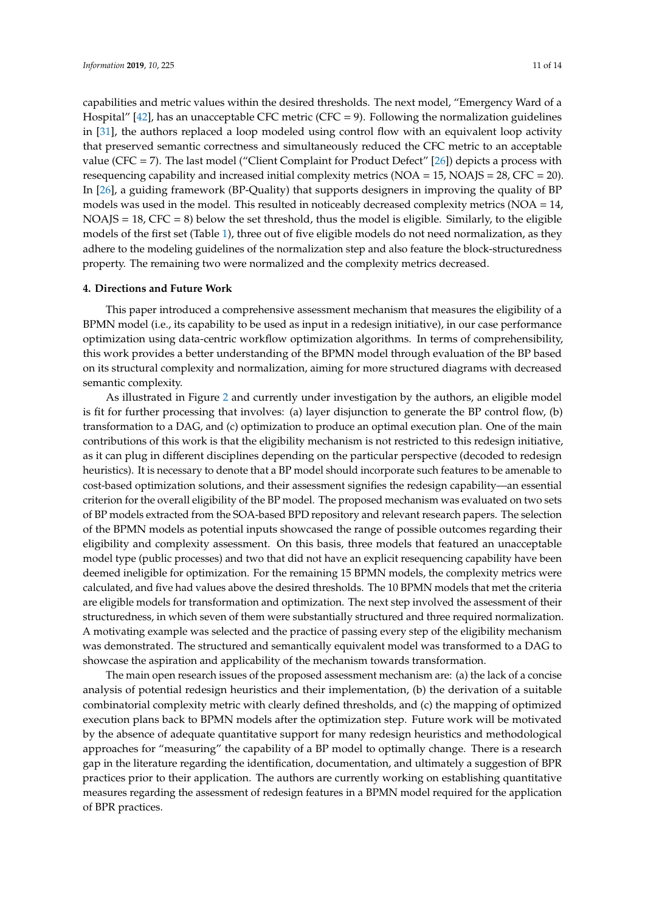capabilities and metric values within the desired thresholds. The next model, "Emergency Ward of a Hospital"  $[42]$ , has an unacceptable CFC metric (CFC = 9). Following the normalization guidelines in [\[31\]](#page-12-15), the authors replaced a loop modeled using control flow with an equivalent loop activity that preserved semantic correctness and simultaneously reduced the CFC metric to an acceptable value (CFC = 7). The last model ("Client Complaint for Product Defect" [\[26\]](#page-12-10)) depicts a process with resequencing capability and increased initial complexity metrics ( $NOA = 15$ ,  $NOAJS = 28$ ,  $CFC = 20$ ). In [\[26\]](#page-12-10), a guiding framework (BP-Quality) that supports designers in improving the quality of BP models was used in the model. This resulted in noticeably decreased complexity metrics (NOA = 14,  $NOA$ JS = 18, CFC = 8) below the set threshold, thus the model is eligible. Similarly, to the eligible models of the first set (Table [1\)](#page-8-1), three out of five eligible models do not need normalization, as they adhere to the modeling guidelines of the normalization step and also feature the block-structuredness property. The remaining two were normalized and the complexity metrics decreased.

#### <span id="page-10-0"></span>**4. Directions and Future Work**

This paper introduced a comprehensive assessment mechanism that measures the eligibility of a BPMN model (i.e., its capability to be used as input in a redesign initiative), in our case performance optimization using data-centric workflow optimization algorithms. In terms of comprehensibility, this work provides a better understanding of the BPMN model through evaluation of the BP based on its structural complexity and normalization, aiming for more structured diagrams with decreased semantic complexity.

As illustrated in Figure [2](#page-4-0) and currently under investigation by the authors, an eligible model is fit for further processing that involves: (a) layer disjunction to generate the BP control flow, (b) transformation to a DAG, and (c) optimization to produce an optimal execution plan. One of the main contributions of this work is that the eligibility mechanism is not restricted to this redesign initiative, as it can plug in different disciplines depending on the particular perspective (decoded to redesign heuristics). It is necessary to denote that a BP model should incorporate such features to be amenable to cost-based optimization solutions, and their assessment signifies the redesign capability—an essential criterion for the overall eligibility of the BP model. The proposed mechanism was evaluated on two sets of BP models extracted from the SOA-based BPD repository and relevant research papers. The selection of the BPMN models as potential inputs showcased the range of possible outcomes regarding their eligibility and complexity assessment. On this basis, three models that featured an unacceptable model type (public processes) and two that did not have an explicit resequencing capability have been deemed ineligible for optimization. For the remaining 15 BPMN models, the complexity metrics were calculated, and five had values above the desired thresholds. The 10 BPMN models that met the criteria are eligible models for transformation and optimization. The next step involved the assessment of their structuredness, in which seven of them were substantially structured and three required normalization. A motivating example was selected and the practice of passing every step of the eligibility mechanism was demonstrated. The structured and semantically equivalent model was transformed to a DAG to showcase the aspiration and applicability of the mechanism towards transformation.

The main open research issues of the proposed assessment mechanism are: (a) the lack of a concise analysis of potential redesign heuristics and their implementation, (b) the derivation of a suitable combinatorial complexity metric with clearly defined thresholds, and (c) the mapping of optimized execution plans back to BPMN models after the optimization step. Future work will be motivated by the absence of adequate quantitative support for many redesign heuristics and methodological approaches for "measuring" the capability of a BP model to optimally change. There is a research gap in the literature regarding the identification, documentation, and ultimately a suggestion of BPR practices prior to their application. The authors are currently working on establishing quantitative measures regarding the assessment of redesign features in a BPMN model required for the application of BPR practices.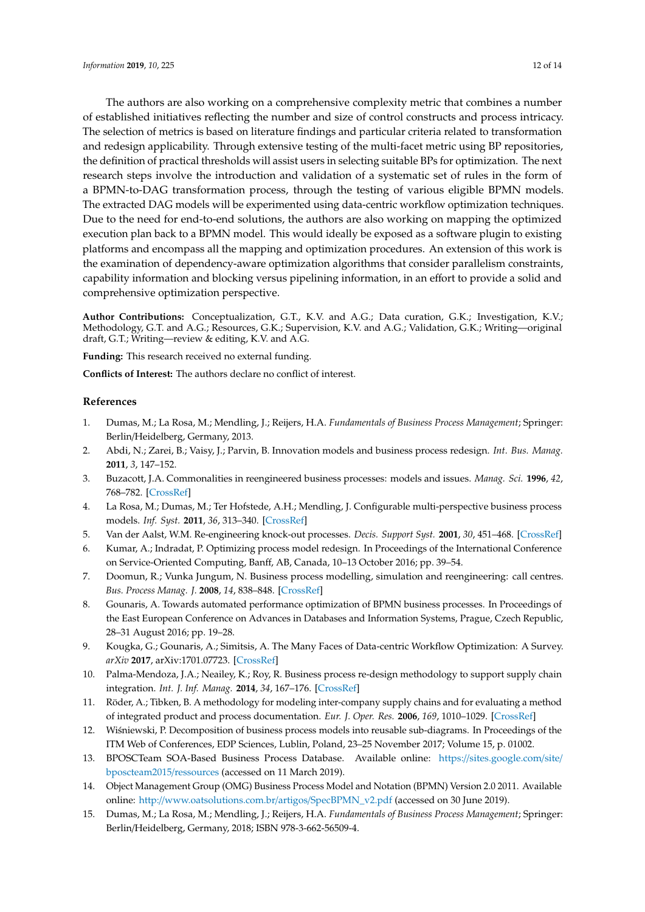The authors are also working on a comprehensive complexity metric that combines a number of established initiatives reflecting the number and size of control constructs and process intricacy. The selection of metrics is based on literature findings and particular criteria related to transformation and redesign applicability. Through extensive testing of the multi-facet metric using BP repositories, the definition of practical thresholds will assist users in selecting suitable BPs for optimization. The next research steps involve the introduction and validation of a systematic set of rules in the form of a BPMN-to-DAG transformation process, through the testing of various eligible BPMN models. The extracted DAG models will be experimented using data-centric workflow optimization techniques. Due to the need for end-to-end solutions, the authors are also working on mapping the optimized execution plan back to a BPMN model. This would ideally be exposed as a software plugin to existing platforms and encompass all the mapping and optimization procedures. An extension of this work is the examination of dependency-aware optimization algorithms that consider parallelism constraints, capability information and blocking versus pipelining information, in an effort to provide a solid and comprehensive optimization perspective.

**Author Contributions:** Conceptualization, G.T., K.V. and A.G.; Data curation, G.K.; Investigation, K.V.; Methodology, G.T. and A.G.; Resources, G.K.; Supervision, K.V. and A.G.; Validation, G.K.; Writing—original draft, G.T.; Writing—review & editing, K.V. and A.G.

**Funding:** This research received no external funding.

**Conflicts of Interest:** The authors declare no conflict of interest.

#### **References**

- <span id="page-11-0"></span>1. Dumas, M.; La Rosa, M.; Mendling, J.; Reijers, H.A. *Fundamentals of Business Process Management*; Springer: Berlin/Heidelberg, Germany, 2013.
- <span id="page-11-1"></span>2. Abdi, N.; Zarei, B.; Vaisy, J.; Parvin, B. Innovation models and business process redesign. *Int. Bus. Manag.* **2011**, *3*, 147–152.
- <span id="page-11-2"></span>3. Buzacott, J.A. Commonalities in reengineered business processes: models and issues. *Manag. Sci.* **1996**, *42*, 768–782. [\[CrossRef\]](http://dx.doi.org/10.1287/mnsc.42.5.768)
- <span id="page-11-3"></span>4. La Rosa, M.; Dumas, M.; Ter Hofstede, A.H.; Mendling, J. Configurable multi-perspective business process models. *Inf. Syst.* **2011**, *36*, 313–340. [\[CrossRef\]](http://dx.doi.org/10.1016/j.is.2010.07.001)
- <span id="page-11-4"></span>5. Van der Aalst, W.M. Re-engineering knock-out processes. *Decis. Support Syst.* **2001**, *30*, 451–468. [\[CrossRef\]](http://dx.doi.org/10.1016/S0167-9236(00)00136-6)
- <span id="page-11-5"></span>6. Kumar, A.; Indradat, P. Optimizing process model redesign. In Proceedings of the International Conference on Service-Oriented Computing, Banff, AB, Canada, 10–13 October 2016; pp. 39–54.
- <span id="page-11-6"></span>7. Doomun, R.; Vunka Jungum, N. Business process modelling, simulation and reengineering: call centres. *Bus. Process Manag. J.* **2008**, *14*, 838–848. [\[CrossRef\]](http://dx.doi.org/10.1108/14637150810916017)
- <span id="page-11-7"></span>8. Gounaris, A. Towards automated performance optimization of BPMN business processes. In Proceedings of the East European Conference on Advances in Databases and Information Systems, Prague, Czech Republic, 28–31 August 2016; pp. 19–28.
- <span id="page-11-8"></span>9. Kougka, G.; Gounaris, A.; Simitsis, A. The Many Faces of Data-centric Workflow Optimization: A Survey. *arXiv* **2017**, arXiv:1701.07723. [\[CrossRef\]](http://dx.doi.org/10.1007/s41060-018-0107-0)
- <span id="page-11-9"></span>10. Palma-Mendoza, J.A.; Neailey, K.; Roy, R. Business process re-design methodology to support supply chain integration. *Int. J. Inf. Manag.* **2014**, *34*, 167–176. [\[CrossRef\]](http://dx.doi.org/10.1016/j.ijinfomgt.2013.12.008)
- <span id="page-11-10"></span>11. Röder, A.; Tibken, B. A methodology for modeling inter-company supply chains and for evaluating a method of integrated product and process documentation. *Eur. J. Oper. Res.* **2006**, *169*, 1010–1029. [\[CrossRef\]](http://dx.doi.org/10.1016/j.ejor.2005.02.006)
- <span id="page-11-11"></span>12. Wiśniewski, P. Decomposition of business process models into reusable sub-diagrams. In Proceedings of the ITM Web of Conferences, EDP Sciences, Lublin, Poland, 23–25 November 2017; Volume 15, p. 01002.
- <span id="page-11-12"></span>13. BPOSCTeam SOA-Based Business Process Database. Available online: https://[sites.google.com](https://sites.google.com/site/bposcteam2015/ressources)/site/ [bposcteam2015](https://sites.google.com/site/bposcteam2015/ressources)/ressources (accessed on 11 March 2019).
- <span id="page-11-13"></span>14. Object Management Group (OMG) Business Process Model and Notation (BPMN) Version 2.0 2011. Available online: http://[www.oatsolutions.com.br](http://www.oatsolutions.com.br/artigos/SpecBPMN_v2.pdf)/artigos/SpecBPMN\_v2.pdf (accessed on 30 June 2019).
- <span id="page-11-14"></span>15. Dumas, M.; La Rosa, M.; Mendling, J.; Reijers, H.A. *Fundamentals of Business Process Management*; Springer: Berlin/Heidelberg, Germany, 2018; ISBN 978-3-662-56509-4.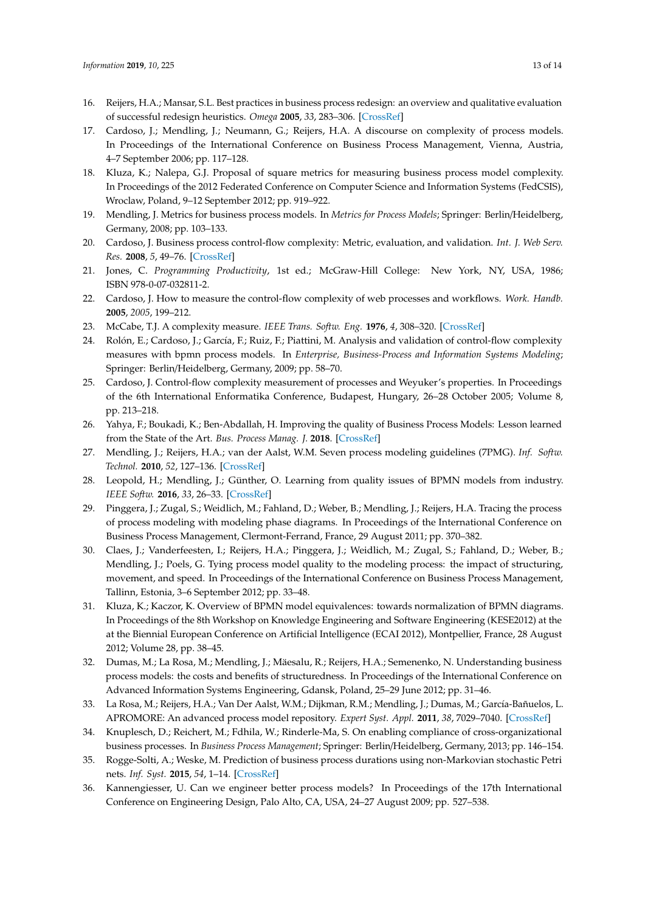- <span id="page-12-0"></span>16. Reijers, H.A.; Mansar, S.L. Best practices in business process redesign: an overview and qualitative evaluation of successful redesign heuristics. *Omega* **2005**, *33*, 283–306. [\[CrossRef\]](http://dx.doi.org/10.1016/j.omega.2004.04.012)
- <span id="page-12-1"></span>17. Cardoso, J.; Mendling, J.; Neumann, G.; Reijers, H.A. A discourse on complexity of process models. In Proceedings of the International Conference on Business Process Management, Vienna, Austria, 4–7 September 2006; pp. 117–128.
- <span id="page-12-2"></span>18. Kluza, K.; Nalepa, G.J. Proposal of square metrics for measuring business process model complexity. In Proceedings of the 2012 Federated Conference on Computer Science and Information Systems (FedCSIS), Wroclaw, Poland, 9–12 September 2012; pp. 919–922.
- <span id="page-12-3"></span>19. Mendling, J. Metrics for business process models. In *Metrics for Process Models*; Springer: Berlin/Heidelberg, Germany, 2008; pp. 103–133.
- <span id="page-12-4"></span>20. Cardoso, J. Business process control-flow complexity: Metric, evaluation, and validation. *Int. J. Web Serv. Res.* **2008**, *5*, 49–76. [\[CrossRef\]](http://dx.doi.org/10.4018/jwsr.2008040103)
- <span id="page-12-5"></span>21. Jones, C. *Programming Productivity*, 1st ed.; McGraw-Hill College: New York, NY, USA, 1986; ISBN 978-0-07-032811-2.
- <span id="page-12-6"></span>22. Cardoso, J. How to measure the control-flow complexity of web processes and workflows. *Work. Handb.* **2005**, *2005*, 199–212.
- <span id="page-12-7"></span>23. McCabe, T.J. A complexity measure. *IEEE Trans. Softw. Eng.* **1976**, *4*, 308–320. [\[CrossRef\]](http://dx.doi.org/10.1109/TSE.1976.233837)
- <span id="page-12-8"></span>24. Rolón, E.; Cardoso, J.; García, F.; Ruiz, F.; Piattini, M. Analysis and validation of control-flow complexity measures with bpmn process models. In *Enterprise, Business-Process and Information Systems Modeling*; Springer: Berlin/Heidelberg, Germany, 2009; pp. 58–70.
- <span id="page-12-9"></span>25. Cardoso, J. Control-flow complexity measurement of processes and Weyuker's properties. In Proceedings of the 6th International Enformatika Conference, Budapest, Hungary, 26–28 October 2005; Volume 8, pp. 213–218.
- <span id="page-12-10"></span>26. Yahya, F.; Boukadi, K.; Ben-Abdallah, H. Improving the quality of Business Process Models: Lesson learned from the State of the Art. *Bus. Process Manag. J.* **2018**. [\[CrossRef\]](http://dx.doi.org/10.1108/BPMJ-11-2017-0327)
- <span id="page-12-14"></span>27. Mendling, J.; Reijers, H.A.; van der Aalst, W.M. Seven process modeling guidelines (7PMG). *Inf. Softw. Technol.* **2010**, *52*, 127–136. [\[CrossRef\]](http://dx.doi.org/10.1016/j.infsof.2009.08.004)
- <span id="page-12-11"></span>28. Leopold, H.; Mendling, J.; Günther, O. Learning from quality issues of BPMN models from industry. *IEEE Softw.* **2016**, *33*, 26–33. [\[CrossRef\]](http://dx.doi.org/10.1109/MS.2015.81)
- <span id="page-12-12"></span>29. Pinggera, J.; Zugal, S.; Weidlich, M.; Fahland, D.; Weber, B.; Mendling, J.; Reijers, H.A. Tracing the process of process modeling with modeling phase diagrams. In Proceedings of the International Conference on Business Process Management, Clermont-Ferrand, France, 29 August 2011; pp. 370–382.
- <span id="page-12-13"></span>30. Claes, J.; Vanderfeesten, I.; Reijers, H.A.; Pinggera, J.; Weidlich, M.; Zugal, S.; Fahland, D.; Weber, B.; Mendling, J.; Poels, G. Tying process model quality to the modeling process: the impact of structuring, movement, and speed. In Proceedings of the International Conference on Business Process Management, Tallinn, Estonia, 3–6 September 2012; pp. 33–48.
- <span id="page-12-15"></span>31. Kluza, K.; Kaczor, K. Overview of BPMN model equivalences: towards normalization of BPMN diagrams. In Proceedings of the 8th Workshop on Knowledge Engineering and Software Engineering (KESE2012) at the at the Biennial European Conference on Artificial Intelligence (ECAI 2012), Montpellier, France, 28 August 2012; Volume 28, pp. 38–45.
- <span id="page-12-16"></span>32. Dumas, M.; La Rosa, M.; Mendling, J.; Mäesalu, R.; Reijers, H.A.; Semenenko, N. Understanding business process models: the costs and benefits of structuredness. In Proceedings of the International Conference on Advanced Information Systems Engineering, Gdansk, Poland, 25–29 June 2012; pp. 31–46.
- <span id="page-12-17"></span>33. La Rosa, M.; Reijers, H.A.; Van Der Aalst, W.M.; Dijkman, R.M.; Mendling, J.; Dumas, M.; García-Bañuelos, L. APROMORE: An advanced process model repository. *Expert Syst. Appl.* **2011**, *38*, 7029–7040. [\[CrossRef\]](http://dx.doi.org/10.1016/j.eswa.2010.12.012)
- <span id="page-12-18"></span>34. Knuplesch, D.; Reichert, M.; Fdhila, W.; Rinderle-Ma, S. On enabling compliance of cross-organizational business processes. In *Business Process Management*; Springer: Berlin/Heidelberg, Germany, 2013; pp. 146–154.
- <span id="page-12-19"></span>35. Rogge-Solti, A.; Weske, M. Prediction of business process durations using non-Markovian stochastic Petri nets. *Inf. Syst.* **2015**, *54*, 1–14. [\[CrossRef\]](http://dx.doi.org/10.1016/j.is.2015.04.004)
- <span id="page-12-20"></span>36. Kannengiesser, U. Can we engineer better process models? In Proceedings of the 17th International Conference on Engineering Design, Palo Alto, CA, USA, 24–27 August 2009; pp. 527–538.